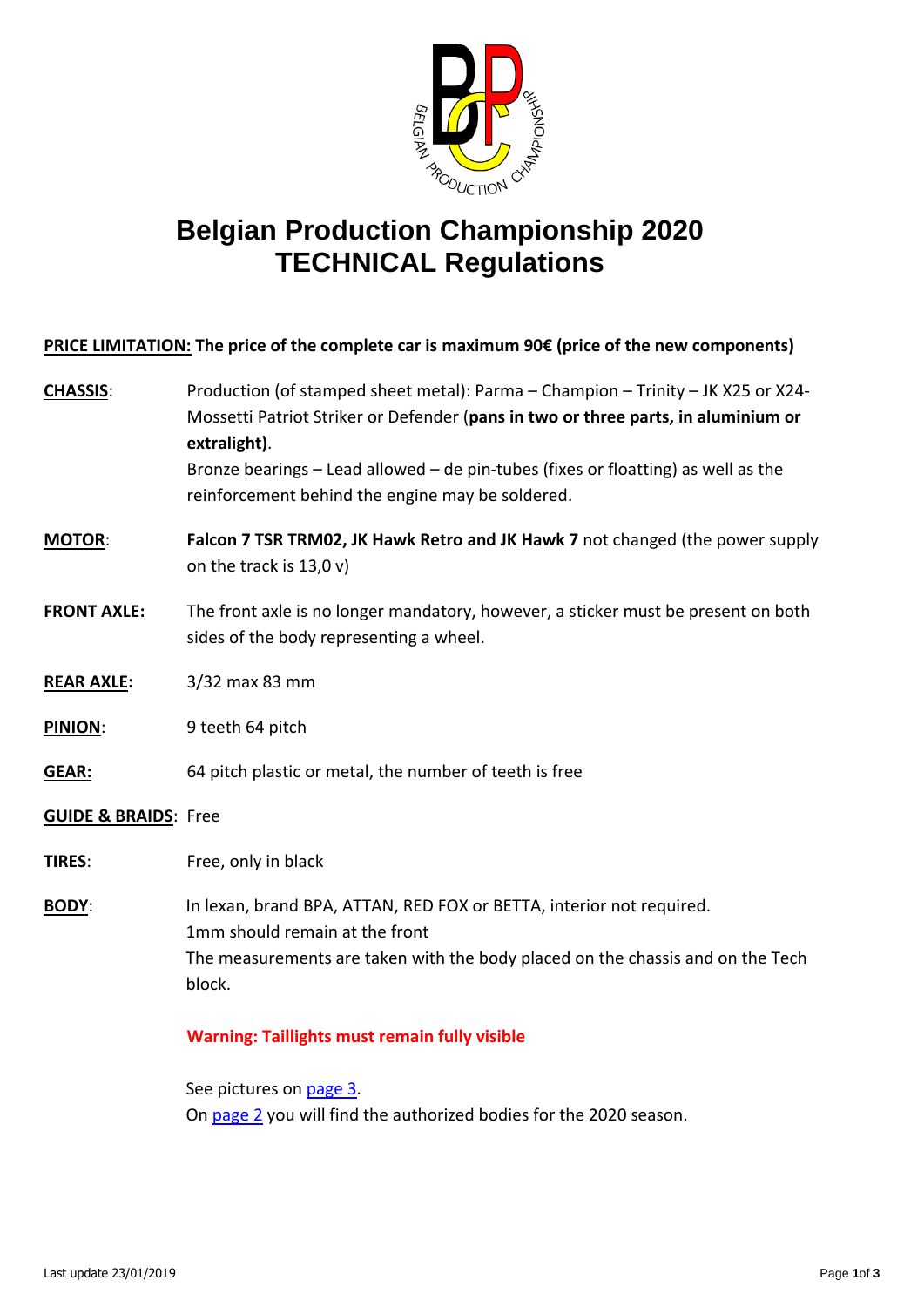

## **Belgian Production Championship 2020 TECHNICAL Regulations**

**PRICE LIMITATION: The price of the complete car is maximum 90€ (price of the new components)**

- **CHASSIS**: Production (of stamped sheet metal): Parma Champion Trinity JK X25 or X24- Mossetti Patriot Striker or Defender (**pans in two or three parts, in aluminium or extralight)**. Bronze bearings – Lead allowed – de pin-tubes (fixes or floatting) as well as the reinforcement behind the engine may be soldered.
- **MOTOR**: **Falcon 7 TSR TRM02, JK Hawk Retro and JK Hawk 7** not changed (the power supply on the track is 13,0 v)
- **FRONT AXLE:** The front axle is no longer mandatory, however, a sticker must be present on both sides of the body representing a wheel.
- **REAR AXLE:** 3/32 max 83 mm
- **PINION**: 9 teeth 64 pitch
- **GEAR:** 64 pitch plastic or metal, the number of teeth is free
- **GUIDE & BRAIDS**: Free
- **TIRES**: Free, only in black
- **BODY**: In lexan, brand BPA, ATTAN, RED FOX or BETTA, interior not required. 1mm should remain at the front The measurements are taken with the body placed on the chassis and on the Tech block.

## **Warning: Taillights must remain fully visible**

See pictures on page 3. On [page](#page-1-0) 2 you will find the authorized bodies for the 2020 season.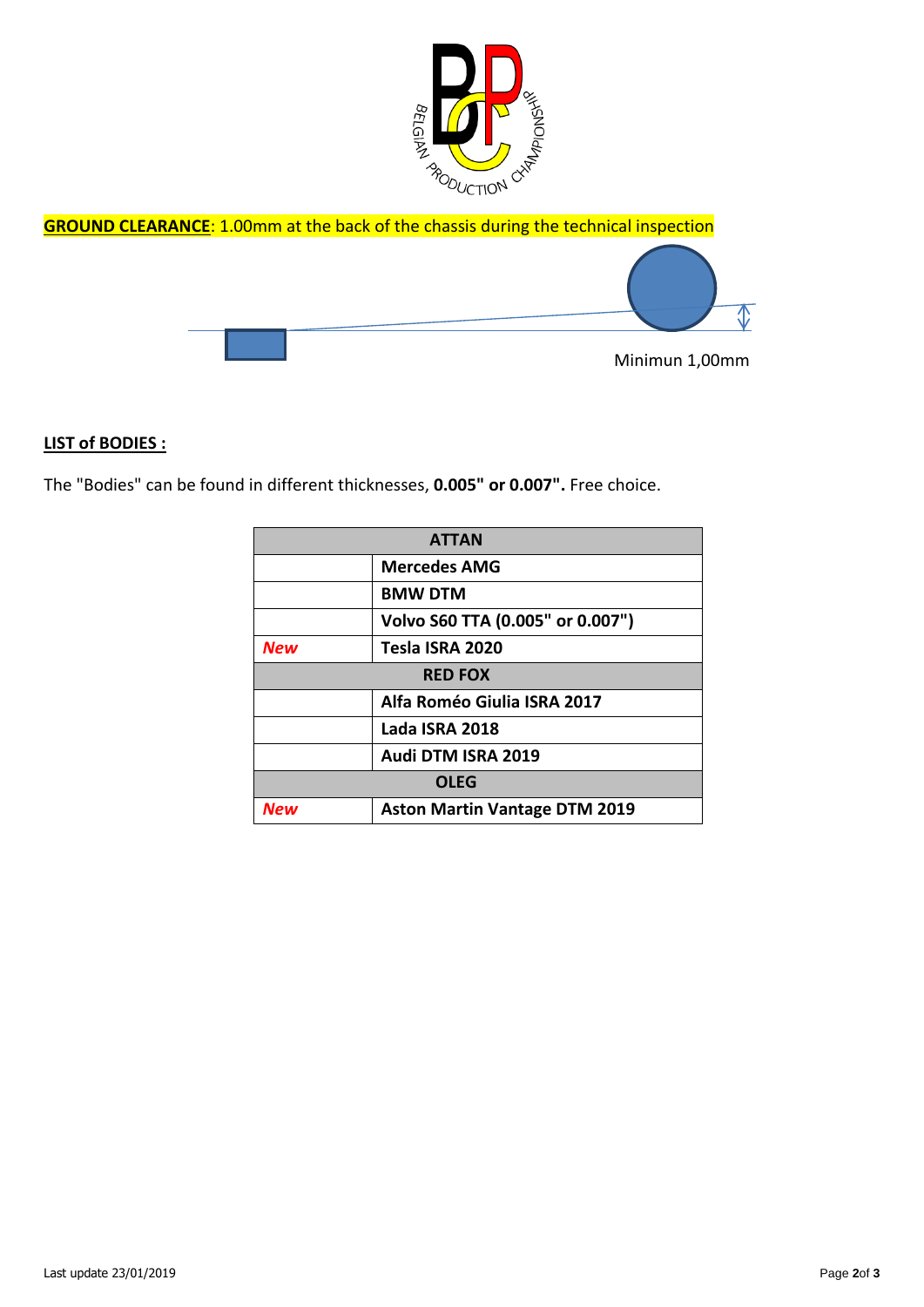





## <span id="page-1-0"></span>**LIST of BODIES :**

The "Bodies" can be found in different thicknesses, **0.005" or 0.007".** Free choice.

| <b>ATTAN</b>   |                                      |
|----------------|--------------------------------------|
|                | <b>Mercedes AMG</b>                  |
|                | <b>BMW DTM</b>                       |
|                | Volvo S60 TTA (0.005" or 0.007")     |
| <b>New</b>     | Tesla ISRA 2020                      |
| <b>RED FOX</b> |                                      |
|                | Alfa Roméo Giulia ISRA 2017          |
|                | Lada ISRA 2018                       |
|                | Audi DTM ISRA 2019                   |
| <b>OLEG</b>    |                                      |
| New            | <b>Aston Martin Vantage DTM 2019</b> |